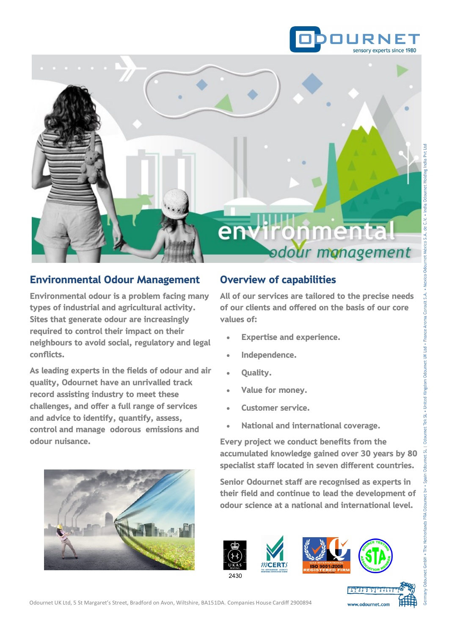



# Environmental Odour Management

Environmental odour is a problem facing many types of industrial and agricultural activity. Sites that generate odour are increasingly required to control their impact on their neighbours to avoid social, regulatory and legal conflicts.

As leading experts in the fields of odour and air quality, Odournet have an unrivalled track record assisting industry to meet these challenges, and offer a full range of services and advice to identify, quantify, assess, control and manage odorous emissions and odour nuisance.

# Overview of capabilities

All of our services are tailored to the precise needs of our clients and offered on the basis of our core values of:

- Expertise and experience.
- Independence.
- Quality.
- Value for money.
- Customer service.
- National and international coverage.

Every project we conduct benefits from the accumulated knowledge gained over 30 years by 80 specialist staff located in seven different countries.

Senior Odournet staff are recognised as experts in their field and continue to lead the development of odour science at a national and international level.

> <u> Alan Alan Andrew Alan</u> www.odournet.com



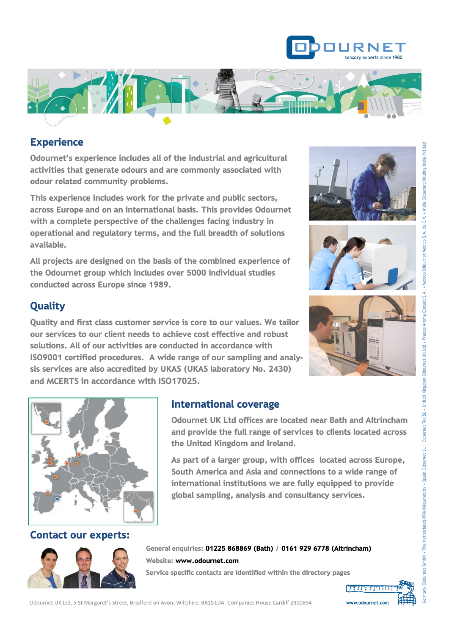



## **Experience**

Odournet's experience includes all of the industrial and agricultural activities that generate odours and are commonly associated with odour related community problems.

This experience includes work for the private and public sectors, across Europe and on an international basis. This provides Odournet with a complete perspective of the challenges facing industry in operational and regulatory terms, and the full breadth of solutions available.

All projects are designed on the basis of the combined experience of the Odournet group which includes over 5000 individual studies conducted across Europe since 1989.





# **Quality**

Quality and first class customer service is core to our values. We tailor our services to our client needs to achieve cost effective and robust solutions. All of our activities are conducted in accordance with ISO9001 certified procedures. A wide range of our sampling and analysis services are also accredited by UKAS (UKAS laboratory No. 2430) and MCERTS in accordance with ISO17025.





### International coverage

Odournet UK Ltd offices are located near Bath and Altrincham and provide the full range of services to clients located across the United Kingdom and Ireland.

As part of a larger group, with offices located across Europe, South America and Asia and connections to a wide range of international institutions we are fully equipped to provide global sampling, analysis and consultancy services.

### Contact our experts:



General enquiries: 01225 868869 (Bath) / 0161 929 6778 (Altrincham) Website: www.odournet.com Service specific contacts are identified within the directory pages

> **The Marie Library of Library 18 and 200** www.odournet.com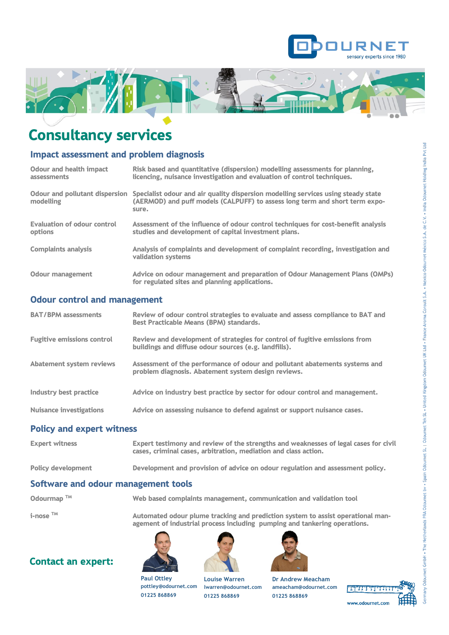



# Consultancy services

### Impact assessment and problem diagnosis

| Odour and health impact<br>assessments             | Risk based and quantitative (dispersion) modelling assessments for planning,<br>licencing, nuisance investigation and evaluation of control techniques.                   |
|----------------------------------------------------|---------------------------------------------------------------------------------------------------------------------------------------------------------------------------|
| <b>Odour and pollutant dispersion</b><br>modelling | Specialist odour and air quality dispersion modelling services using steady state<br>(AERMOD) and puff models (CALPUFF) to assess long term and short term expo-<br>sure. |
| <b>Evaluation of odour control</b><br>options      | Assessment of the influence of odour control techniques for cost-benefit analysis<br>studies and development of capital investment plans.                                 |
| <b>Complaints analysis</b>                         | Analysis of complaints and development of complaint recording, investigation and<br>validation systems                                                                    |
| <b>Odour management</b>                            | Advice on odour management and preparation of Odour Management Plans (OMPs)<br>for regulated sites and planning applications.                                             |

#### Odour control and management

| <b>BAT/BPM assessments</b>        | Review of odour control strategies to evaluate and assess compliance to BAT and<br><b>Best Practicable Means (BPM) standards.</b>    |
|-----------------------------------|--------------------------------------------------------------------------------------------------------------------------------------|
| <b>Fugitive emissions control</b> | Review and development of strategies for control of fugitive emissions from<br>buildings and diffuse odour sources (e.g. landfills). |
| <b>Abatement system reviews</b>   | Assessment of the performance of odour and pollutant abatements systems and<br>problem diagnosis. Abatement system design reviews.   |
| Industry best practice            | Advice on industry best practice by sector for odour control and management.                                                         |
| <b>Nuisance investigations</b>    | Advice on assessing nuisance to defend against or support nuisance cases.                                                            |

#### Policy and expert witness

| <b>Expert witness</b>     | Expert testimony and review of the strengths and weaknesses of legal cases for civil<br>cases, criminal cases, arbitration, mediation and class action. |
|---------------------------|---------------------------------------------------------------------------------------------------------------------------------------------------------|
| <b>Policy development</b> | Development and provision of advice on odour regulation and assessment policy.                                                                          |
|                           |                                                                                                                                                         |

### Software and odour management tools

Odourmap<sup>TM</sup> Web based complaints management, communication and validation tool

 $i$ -nose  $TM$  Automated odour plume tracking and prediction system to assist operational management of industrial process including pumping and tankering operations.

### Contact an expert:



**Paul Ottley**

**01225 868869**



**01225 868869** 



**Dr Andrew Meacham ameacham@odournet.com 01225 868869** 

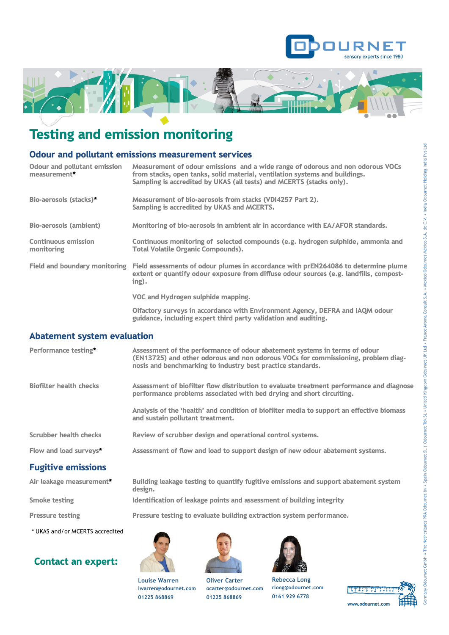



# Testing and emission monitoring

### Odour and pollutant emissions measurement services

| <b>Odour and pollutant emission</b><br>measurement* | Measurement of odour emissions and a wide range of odorous and non odorous VOCs<br>from stacks, open tanks, solid material, ventilation systems and buildings.<br>Sampling is accredited by UKAS (all tests) and MCERTS (stacks only). |
|-----------------------------------------------------|----------------------------------------------------------------------------------------------------------------------------------------------------------------------------------------------------------------------------------------|
| Bio-aerosols (stacks)*                              | Measurement of bio-aerosols from stacks (VDI4257 Part 2).<br>Sampling is accredited by UKAS and MCERTS.                                                                                                                                |
| <b>Bio-aerosols (ambient)</b>                       | Monitoring of bio-aerosols in ambient air in accordance with EA/AFOR standards.                                                                                                                                                        |
| <b>Continuous emission</b><br>monitoring            | Continuous monitoring of selected compounds (e.g. hydrogen sulphide, ammonia and<br><b>Total Volatile Organic Compounds).</b>                                                                                                          |
| Field and boundary monitoring                       | Field assessments of odour plumes in accordance with prEN264086 to determine plume<br>extent or quantify odour exposure from diffuse odour sources (e.g. landfills, compost-<br>$ing$ ).                                               |
|                                                     | VOC and Hydrogen sulphide mapping.                                                                                                                                                                                                     |
|                                                     | Olfactory surveys in accordance with Environment Agency, DEFRA and IAQM odour<br>guidance, including expert third party validation and auditing.                                                                                       |

#### Abatement system evaluation

| Performance testing*           | Assessment of the performance of odour abatement systems in terms of odour<br>(EN13725) and other odorous and non odorous VOCs for commissioning, problem diag-<br>nosis and benchmarking to industry best practice standards. |
|--------------------------------|--------------------------------------------------------------------------------------------------------------------------------------------------------------------------------------------------------------------------------|
| <b>Biofilter health checks</b> | Assessment of biofilter flow distribution to evaluate treatment performance and diagnose<br>performance problems associated with bed drying and short circuiting.                                                              |
|                                | Analysis of the 'health' and condition of biofilter media to support an effective biomass<br>and sustain pollutant treatment.                                                                                                  |
| <b>Scrubber health checks</b>  | Review of scrubber design and operational control systems.                                                                                                                                                                     |
| Flow and load surveys*         | Assessment of flow and load to support design of new odour abatement systems.                                                                                                                                                  |
| <b>Fugitive emissions</b>      |                                                                                                                                                                                                                                |
| Air leakage measurement*       | Building leakage testing to quantify fugitive emissions and support abatement system<br>design.                                                                                                                                |

Smoke testing **IDENT** Identification of leakage points and assessment of building integrity

Pressure testing Pressure testing to evaluate building extraction system performance.

\* UKAS and/or MCERTS accredited

### Contact an expert:





**Oliver Carter ocarter@odournet.com 01225 868869**





**rlong@odournet.com 0161 929 6778**

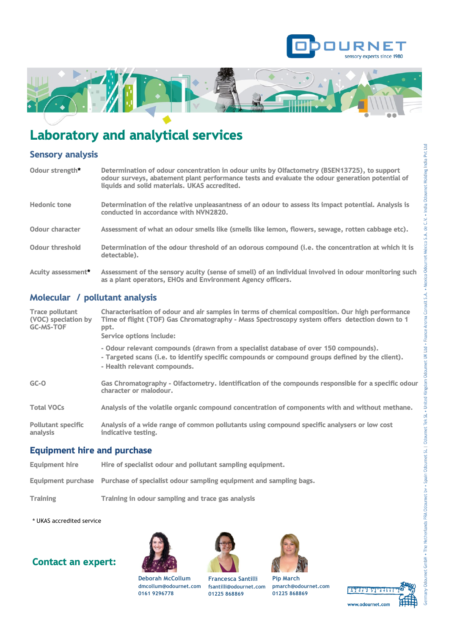



# Laboratory and analytical services

### Sensory analysis

| Odour strength*        | Determination of odour concentration in odour units by Olfactometry (BSEN13725), to support<br>odour surveys, abatement plant performance tests and evaluate the odour generation potential of<br>liquids and solid materials. UKAS accredited. |
|------------------------|-------------------------------------------------------------------------------------------------------------------------------------------------------------------------------------------------------------------------------------------------|
| <b>Hedonic tone</b>    | Determination of the relative unpleasantness of an odour to assess its impact potential. Analysis is<br>conducted in accordance with NVN2820.                                                                                                   |
| <b>Odour character</b> | Assessment of what an odour smells like (smells like lemon, flowers, sewage, rotten cabbage etc).                                                                                                                                               |
| <b>Odour threshold</b> | Determination of the odour threshold of an odorous compound (i.e. the concentration at which it is<br>detectable).                                                                                                                              |
| Acuity assessment*     | Assessment of the sensory acuity (sense of smell) of an individual involved in odour monitoring such<br>as a plant operators, EHOs and Environment Agency officers.                                                                             |

### Molecular / pollutant analysis

| analysis<br><b>Equipment hire and purchase</b>                    | indicative testing.                                                                                                                                                                                                                   |
|-------------------------------------------------------------------|---------------------------------------------------------------------------------------------------------------------------------------------------------------------------------------------------------------------------------------|
| <b>Total VOCs</b><br><b>Pollutant specific</b>                    | Analysis of the volatile organic compound concentration of components with and without methane.<br>Analysis of a wide range of common pollutants using compound specific analysers or low cost                                        |
| $GC-0$                                                            | Gas Chromatography - Olfactometry. Identification of the compounds responsible for a specific odour<br>character or malodour.                                                                                                         |
|                                                                   | - Odour relevant compounds (drawn from a specialist database of over 150 compounds).<br>- Targeted scans (i.e. to identify specific compounds or compound groups defined by the client).<br>- Health relevant compounds.              |
| <b>Trace pollutant</b><br>(VOC) speciation by<br><b>GC-MS-TOF</b> | Characterisation of odour and air samples in terms of chemical composition. Our high performance<br>Time of flight (TOF) Gas Chromatography - Mass Spectroscopy system offers detection down to 1<br>ppt.<br>Service options include: |

- Equipment hire Hire of specialist odour and pollutant sampling equipment.
- Equipment purchase Purchase of specialist odour sampling equipment and sampling bags.
- Training Training in odour sampling and trace gas analysis
- \* UKAS accredited service

### Contact an expert:



**0161 9296778**





| <b>Pip March</b>                                   |
|----------------------------------------------------|
| pmarch@odournet                                    |
| $\sim$ . $\sim$ $\sim$ $\sim$ $\sim$ $\sim$ $\sim$ |

**p**.com **01225 868869** 



**dmcollum@odournet.com Francesca Santilli fsantilli@odournet.com 01225 868869**